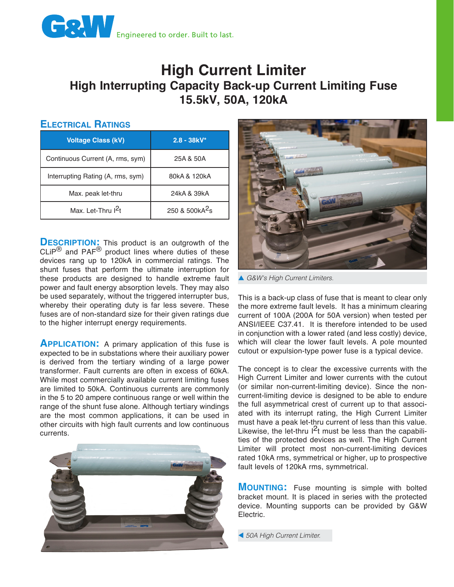

## **High Current Limiter High Interrupting Capacity Back-up Current Limiting Fuse 15.5kV, 50A, 120kA**

## **Electrical Ratings**

| <b>Voltage Class (kV)</b>         | $2.8 - 38kV^*$             |
|-----------------------------------|----------------------------|
| Continuous Current (A, rms, sym)  | 25A & 50A                  |
| Interrupting Rating (A, rms, sym) | 80kA & 120kA               |
| Max. peak let-thru                | 24kA & 39kA                |
| Max. Let-Thru I <sup>2</sup> t    | 250 & 500kA <sup>2</sup> s |

**DESCRIPTION:** This product is an outgrowth of the  $CLIP^{®}$  and PAF<sup>®</sup> product lines where duties of these devices rang up to 120kA in commercial ratings. The shunt fuses that perform the ultimate interruption for these products are designed to handle extreme fault power and fault energy absorption levels. They may also be used separately, without the triggered interrupter bus, whereby their operating duty is far less severe. These fuses are of non-standard size for their given ratings due to the higher interrupt energy requirements.

**APPLICATION:** A primary application of this fuse is expected to be in substations where their auxiliary power is derived from the tertiary winding of a large power transformer. Fault currents are often in excess of 60kA. While most commercially available current limiting fuses are limited to 50kA. Continuous currents are commonly in the 5 to 20 ampere continuous range or well within the range of the shunt fuse alone. Although tertiary windings are the most common applications, it can be used in other circuits with high fault currents and low continuous currents.





▲ G&W's High Current Limiters.

This is a back-up class of fuse that is meant to clear only the more extreme fault levels. It has a minimum clearing current of 100A (200A for 50A version) when tested per ANSI/IEEE C37.41. It is therefore intended to be used in conjunction with a lower rated (and less costly) device, which will clear the lower fault levels. A pole mounted cutout or expulsion-type power fuse is a typical device.

The concept is to clear the excessive currents with the High Current Limiter and lower currents with the cutout (or similar non-current-limiting device). Since the noncurrent-limiting device is designed to be able to endure the full asymmetrical crest of current up to that associated with its interrupt rating, the High Current Limiter must have a peak let-thru current of less than this value. Likewise, the let-thru  $1^2t$  must be less than the capabilities of the protected devices as well. The High Current Limiter will protect most non-current-limiting devices rated 10kA rms, symmetrical or higher, up to prospective fault levels of 120kA rms, symmetrical.

**MOUNTING:** Fuse mounting is simple with bolted bracket mount. It is placed in series with the protected device. Mounting supports can be provided by G&W Electric.

t *50A High Current Limiter.*